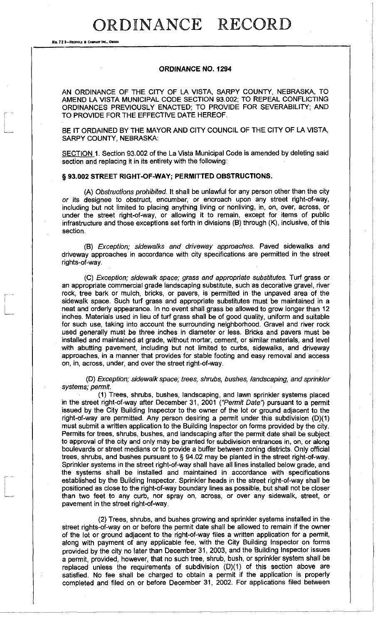## ORDINANCE RECORD

No. 72 8-REDFIELD & COMPANY INC., OMAH

#### **ORDINANCE NO. 1294**

AN ORDINANCE OF THE CITY OF LA VISTA, SARPY COUNTY, NEBRASKA, TO AMEND LA VISTA MUNICIPAL CODE SECTION 93.002; TO REPEAL CONFLICTING ORDINANCES PREVIOUSLY ENACTED; TO PROVIDE FOR SEVERABILITY; AND TO PROVIDE FOR THE EFFECTIVE DATE HEREOF.

BE IT ORDAINED BY THE MAYOR AND CITY COUNCIL OF THE CITY OF LA VISTA, SARPY COUNTY, NEBRASKA:

SECTION 1. Section 93.002 of the La Vista Municipal Code is amended by deleting said section and replacing it in its entirety with the following:

#### **§ 93.002 STREET RIGHT-OF-WAY; PERMITTED OBSTRUCTIONS.**

(A) *Obstructions prohibited.* It shall be unlawful for any person other than the city *or* its designee to obstruct, encumber, or encroach upon any street right-of-way, including but not limited to placing anything living or nonliving, in, on, over, across, or under the street right-of-way, or allowing it to remain, except for items of public infrastructure and those exceptions set forth in divisions (B) through (K), inclusive, of this section.

(B) *Exception; sidewalks and driveway approaches.* Paved sidewalks and driveway approaches in accordance with city specifications are permitted in the street rights-of-way.

(C) *Exception; sidewalk space; grass and appropriate substitutes.* Turf grass or an appropriate commercial grade landscaping substitute, such as decorative gravel, river rock, tree bark or mulch, bricks, or pavers, is permitted in the unpaved area of the sidewalk space. Such turf grass and appropriate substitutes must be maintained in a neat and orderly appearance. In no event shall grass be allowed to grow longer than 12 inches. Materials used in lieu of turf grass shall be of good quality, uniform and suitable for such use, taking into account the surrounding neighborhood. Gravel and river rock used generally must be three inches in diameter or less. Bricks and pavers must be installed and maintained at grade, without mortar, cement, or similar materials, and level with abutting pavement, including but not limited to curbs, sidewalks, and driveway approaches, in a manner that provides for stable footing and easy removal and access on, in, across, under, and over the street right-of-way.

(D) *Exception; sidewalk space; trees, shrubs, bushes, landscaping, and sprinkler systems; permit* 

(1) Trees, shrubs, bushes, landscaping, and lawn sprinkler systems placed in the street right-of-way after December 31, 2001 *("Permit Date')* pursuant to a permit issued by the City Building Inspector to the owner of the lot or ground adjacent to the right-of-way are permitted. Any person desiring a permit under this subdivision (D)(1) must submit a written application to the Building Inspector on forms provided by the city. Permits for trees, shrubs, bushes, and landscaping after the permit date shall be subject to approval of the city and only may be granted for subdivision entrances in, on, or along boulevards or street medians or to provide a buffer between zoning districts. Only official trees, shrubs, and bushes pursuant to § 94.02 may be planted in the street right-of-way. Sprinkler systems in the street right-of-way shall have all lines installed below grade, and the systems shall be installed and maintained in accordance with specifications established by the Building Inspector. Sprinkler heads in the street right-of-way shall be positioned as close to the right-of-way boundary lines as possible, but shall not be closer than two feet to any curb, nor spray on, across, or over any sidewalk, street, or pavement in the street right-of-way.

(2) Trees, shrubs, and bushes growing and sprinkler systems installed in the street rights-of-way on or before the permit date shall be allowed to remain if the owner of the lot or ground adjacent to the right-of-way files a written application for a permit, along with payment of any applicable fee, with the City Building Inspector on forms provided by the city no later than December 31, 2003, and the Building Inspector issues a permit, provided, however, that no such tree, shrub, bush, or sprinkler system shall be replaced unless the requirements of subdivision (D)(1) of this section above are satisfied. No fee shall be charged to obtain a permit if the application is properly completed and filed on or before December 31, 2002. For applications filed between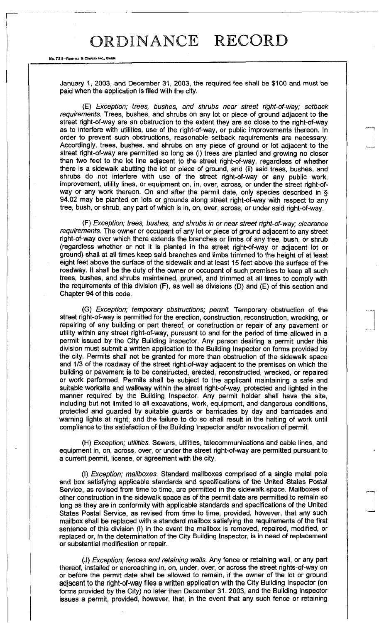### ORDINANCE RECORD

No. 72 8-REDFIELD & COMPANY INC., OMAHA

January 1, 2003, and December 31, 2003, the required fee shall be \$100 and must be paid when the application is filed with the city.

(E) *Exception; trees, bushes, and shrubs near street right-of-way; setback requirements.* Trees, bushes, and shrubs on any lot or piece of ground adjacent to the street right-of-way are an obstruction to the extent they are so close to the right-of-way as to interfere with utilities, use of the right-of-way, or public improvements thereon. In order to prevent such obstructions, reasonable setback requirements are necessary. Accordingly, trees, bushes, and shrubs on any piece of ground or lot adjacent to the street right-of-way are permitted so long as (i) trees are planted and growing no closer than two feet to the lot line adjacent to the street right-of-way, regardless of whether there is a sidewalk abutting the lot or piece of ground, and (ii) said trees, bushes, and shrubs do not interfere with use of the street right-of-way or any public work, improvement, utility lines, or equipment on, in, over, across, or under the street right-ofway or any work thereon. On and after the permit date, only species described in § 94.02 may be planted on lots or grounds along street right-of-way with respect to any tree, bush, or shrub, any part of which is in, on, over, across, or under said right-of-way.

(F) *Exception; trees, bushes, and shrubs in or near street right-of-way; clearance requirements.* The owner or occupant of any lot or piece of ground adjacent to any street right-of-way over which there extends the branches or limbs of any tree, bush, or shrub (regardless whether or not it is planted in the street right-of-way or adjacent lot or ground) shall at all times keep said branches and limbs trimmed to the height of at least eight feet above the surface of the sidewalk and at least 15 feet above the surface of the roadway. It shall be the duty of the owner or occupant of such premises to keep all such trees, bushes, and shrubs maintained, pruned, and trimmed at all times to comply with the requirements of this division (F), as well as divisions (D) and (E) of this section and Chapter 94 of this code.

(G) *Exception; temporary obstructions; permit* Temporary obstruction of the street right-of-way is permitted for the erection, construction, reconstruction, wrecking, or repairing of any building or part thereof, or construction or repair of any pavement or utility within any street right-of-way, pursuant to and for the period of time allowed in a permit issued by the City Building Inspector. Any person desiring a permit under this division must submit a written application to the Building Inspector on forms provided by the city. Permits shall not be granted for more than obstruction of the sidewalk space and 1/3 of the roadway of the street right-of-way adjacent to the premises on which the building or pavement is to be constructed, erected, reconstructed, wrecked, or repaired or work performed. Permits shall be subject to the applicant maintaining a safe and suitable worksite and walkway within the street right-of-way, protected and lighted in the manner required by the Building Inspector. Any permit holder shall have the site, including but not limited to all excavations, work, equipment, and dangerous conditions, protected and guarded by suitable guards or barricades by day and barricades and warning lights at night; and the failure to do so shall result in the halting of work until compliance to the satisfaction of the Building Inspector and/or revocation of permit.

(H) *Exception; utilities.* Sewers, utilities, telecommunications and cable lines, and equipment in, on, across, over, or under the street right-of-way are permitted pursuant to a current permit, license, or agreement with the city.

(I) *Exception; mailboxes.* Standard mailboxes comprised of a single metal pole and box satisfying applicable standards and specifications of the United States Postal Service, as revised from time to time, are permitted in the sidewalk space. Mailboxes of other construction in the sidewalk space as of the permit date are permitted to remain so long as they are in conformity with applicable standards and specifications of the United States Postal Service, as revised from time to time, provided, however, that any such mailbox shall be replaced with a standard mailbox satisfying the requirements of the first sentence of this division (I) in the event the mailbox is removed, repaired, modified, or replaced or, in the determination of the City Building Inspector, is in need of replacement or substantial modification or repair.

(J) *Exception; fences and retaining walls.* Any fence or retaining wall, or any part thereof, installed or encroaching in, on, under, over, or across the street rights-of-way on or before the permit date shall be allowed to remain, if the owner of the lot or ground adjacent to the right-of-way files a written application with the City Building Inspector (on forms provided by the City) no later than December 31. 2003, and the Building Inspector issues a permit, provided, however, that, in the event that any such fence or retaining